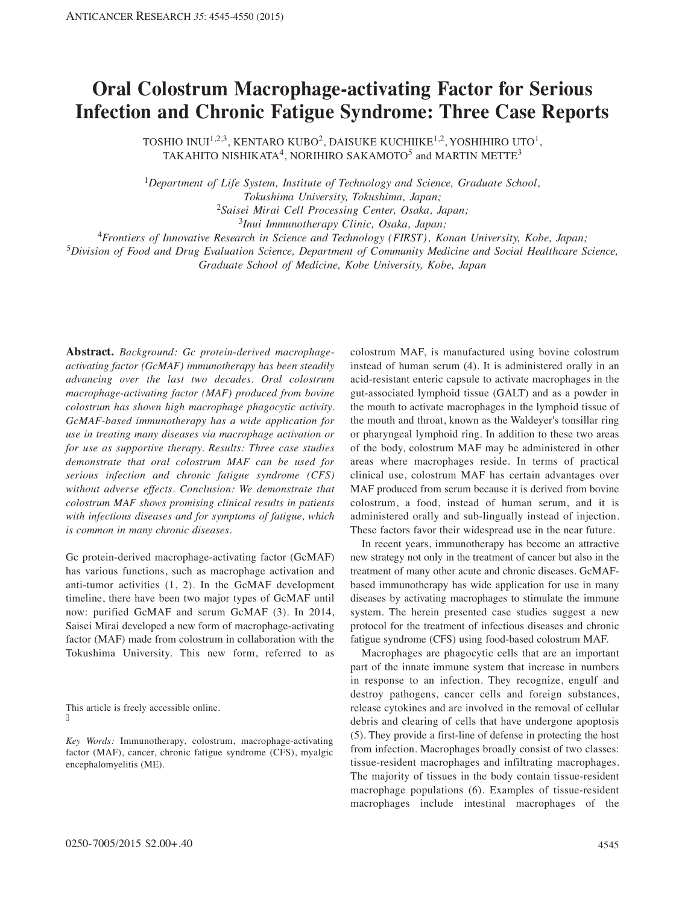## **Oral Colostrum Macrophage-activating Factor for Serious Infection and Chronic Fatigue Syndrome: Three Case Reports**

TOSHIO INUI<sup>1,2,3</sup>, KENTARO KUBO<sup>2</sup>, DAISUKE KUCHIIKE<sup>1,2</sup>, YOSHIHIRO UTO<sup>1</sup>, TAKAHITO NISHIKATA<sup>4</sup>, NORIHIRO SAKAMOTO<sup>5</sup> and MARTIN METTE<sup>3</sup>

<sup>1</sup>*Department of Life System, Institute of Technology and Science, Graduate School, Tokushima University, Tokushima, Japan;* <sup>2</sup>*Saisei Mirai Cell Processing Center, Osaka, Japan;*

<sup>3</sup>*Inui Immunotherapy Clinic, Osaka, Japan;*

<sup>4</sup>*Frontiers of Innovative Research in Science and Technology (FIRST), Konan University, Kobe, Japan;*

<sup>5</sup>*Division of Food and Drug Evaluation Science, Department of Community Medicine and Social Healthcare Science,*

*Graduate School of Medicine, Kobe University, Kobe, Japan*

**Abstract.** *Background: Gc protein-derived macrophageactivating factor (GcMAF) immunotherapy has been steadily advancing over the last two decades. Oral colostrum macrophage-activating factor (MAF) produced from bovine colostrum has shown high macrophage phagocytic activity. GcMAF-based immunotherapy has a wide application for use in treating many diseases via macrophage activation or for use as supportive therapy. Results: Three case studies demonstrate that oral colostrum MAF can be used for serious infection and chronic fatigue syndrome (CFS) without adverse effects. Conclusion: We demonstrate that colostrum MAF shows promising clinical results in patients with infectious diseases and for symptoms of fatigue, which is common in many chronic diseases.*

Gc protein-derived macrophage-activating factor (GcMAF) has various functions, such as macrophage activation and anti-tumor activities (1, 2). In the GcMAF development timeline, there have been two major types of GcMAF until now: purified GcMAF and serum GcMAF (3). In 2014, Saisei Mirai developed a new form of macrophage-activating factor (MAF) made from colostrum in collaboration with the Tokushima University. This new form, referred to as

This article is freely accessible online. ľ

*Key Words:* Immunotherapy, colostrum, macrophage-activating factor (MAF), cancer, chronic fatigue syndrome (CFS), myalgic encephalomyelitis (ME).

colostrum MAF, is manufactured using bovine colostrum instead of human serum (4). It is administered orally in an acid-resistant enteric capsule to activate macrophages in the gut-associated lymphoid tissue (GALT) and as a powder in the mouth to activate macrophages in the lymphoid tissue of the mouth and throat, known as the Waldeyer's tonsillar ring or pharyngeal lymphoid ring. In addition to these two areas of the body, colostrum MAF may be administered in other areas where macrophages reside. In terms of practical clinical use, colostrum MAF has certain advantages over MAF produced from serum because it is derived from bovine colostrum, a food, instead of human serum, and it is administered orally and sub-lingually instead of injection. These factors favor their widespread use in the near future.

In recent years, immunotherapy has become an attractive new strategy not only in the treatment of cancer but also in the treatment of many other acute and chronic diseases. GcMAFbased immunotherapy has wide application for use in many diseases by activating macrophages to stimulate the immune system. The herein presented case studies suggest a new protocol for the treatment of infectious diseases and chronic fatigue syndrome (CFS) using food-based colostrum MAF.

Macrophages are phagocytic cells that are an important part of the innate immune system that increase in numbers in response to an infection. They recognize, engulf and destroy pathogens, cancer cells and foreign substances, release cytokines and are involved in the removal of cellular debris and clearing of cells that have undergone apoptosis (5). They provide a first-line of defense in protecting the host from infection. Macrophages broadly consist of two classes: tissue-resident macrophages and infiltrating macrophages. The majority of tissues in the body contain tissue-resident macrophage populations (6). Examples of tissue-resident macrophages include intestinal macrophages of the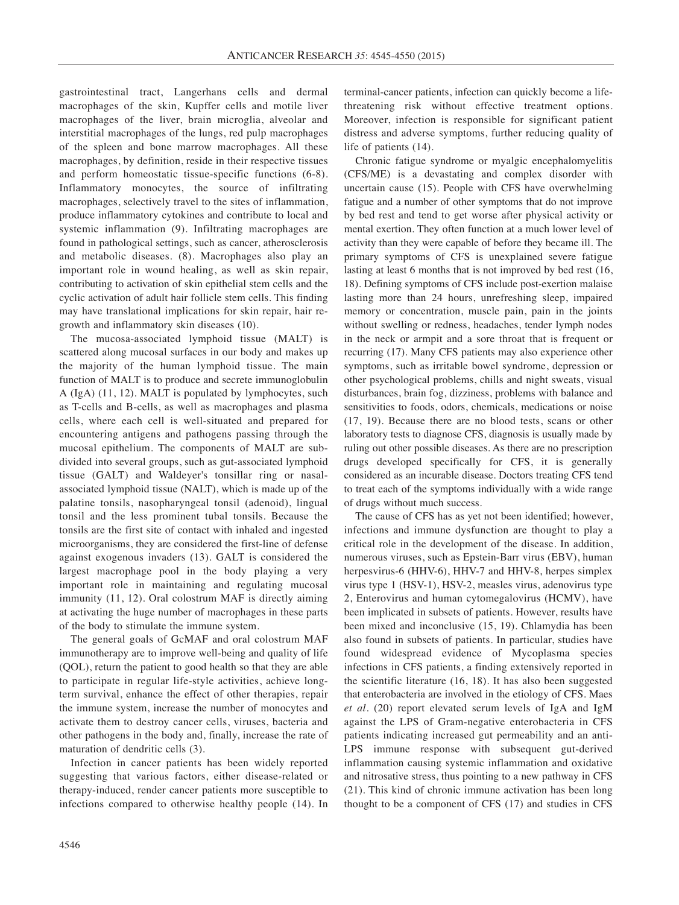gastrointestinal tract, Langerhans cells and dermal macrophages of the skin, Kupffer cells and motile liver macrophages of the liver, brain microglia, alveolar and interstitial macrophages of the lungs, red pulp macrophages of the spleen and bone marrow macrophages. All these macrophages, by definition, reside in their respective tissues and perform homeostatic tissue-specific functions (6-8). Inflammatory monocytes, the source of infiltrating macrophages, selectively travel to the sites of inflammation, produce inflammatory cytokines and contribute to local and systemic inflammation (9). Infiltrating macrophages are found in pathological settings, such as cancer, atherosclerosis and metabolic diseases. (8). Macrophages also play an important role in wound healing, as well as skin repair, contributing to activation of skin epithelial stem cells and the cyclic activation of adult hair follicle stem cells. This finding may have translational implications for skin repair, hair regrowth and inflammatory skin diseases (10).

The mucosa-associated lymphoid tissue (MALT) is scattered along mucosal surfaces in our body and makes up the majority of the human lymphoid tissue. The main function of MALT is to produce and secrete immunoglobulin A (IgA) (11, 12). MALT is populated by lymphocytes, such as T-cells and B-cells, as well as macrophages and plasma cells, where each cell is well-situated and prepared for encountering antigens and pathogens passing through the mucosal epithelium. The components of MALT are subdivided into several groups, such as gut-associated lymphoid tissue (GALT) and Waldeyer's tonsillar ring or nasalassociated lymphoid tissue (NALT), which is made up of the palatine tonsils, nasopharyngeal tonsil (adenoid), lingual tonsil and the less prominent tubal tonsils. Because the tonsils are the first site of contact with inhaled and ingested microorganisms, they are considered the first-line of defense against exogenous invaders (13). GALT is considered the largest macrophage pool in the body playing a very important role in maintaining and regulating mucosal immunity (11, 12). Oral colostrum MAF is directly aiming at activating the huge number of macrophages in these parts of the body to stimulate the immune system.

The general goals of GcMAF and oral colostrum MAF immunotherapy are to improve well-being and quality of life (QOL), return the patient to good health so that they are able to participate in regular life-style activities, achieve longterm survival, enhance the effect of other therapies, repair the immune system, increase the number of monocytes and activate them to destroy cancer cells, viruses, bacteria and other pathogens in the body and, finally, increase the rate of maturation of dendritic cells (3).

Infection in cancer patients has been widely reported suggesting that various factors, either disease-related or therapy-induced, render cancer patients more susceptible to infections compared to otherwise healthy people (14). In terminal-cancer patients, infection can quickly become a lifethreatening risk without effective treatment options. Moreover, infection is responsible for significant patient distress and adverse symptoms, further reducing quality of life of patients (14).

Chronic fatigue syndrome or myalgic encephalomyelitis (CFS/ME) is a devastating and complex disorder with uncertain cause (15). People with CFS have overwhelming fatigue and a number of other symptoms that do not improve by bed rest and tend to get worse after physical activity or mental exertion. They often function at a much lower level of activity than they were capable of before they became ill. The primary symptoms of CFS is unexplained severe fatigue lasting at least 6 months that is not improved by bed rest (16, 18). Defining symptoms of CFS include post-exertion malaise lasting more than 24 hours, unrefreshing sleep, impaired memory or concentration, muscle pain, pain in the joints without swelling or redness, headaches, tender lymph nodes in the neck or armpit and a sore throat that is frequent or recurring (17). Many CFS patients may also experience other symptoms, such as irritable bowel syndrome, depression or other psychological problems, chills and night sweats, visual disturbances, brain fog, dizziness, problems with balance and sensitivities to foods, odors, chemicals, medications or noise (17, 19). Because there are no blood tests, scans or other laboratory tests to diagnose CFS, diagnosis is usually made by ruling out other possible diseases. As there are no prescription drugs developed specifically for CFS, it is generally considered as an incurable disease. Doctors treating CFS tend to treat each of the symptoms individually with a wide range of drugs without much success.

The cause of CFS has as yet not been identified; however, infections and immune dysfunction are thought to play a critical role in the development of the disease. In addition, numerous viruses, such as Epstein-Barr virus (EBV), human herpesvirus-6 (HHV-6), HHV-7 and HHV-8, herpes simplex virus type 1 (HSV-1), HSV-2, measles virus, adenovirus type 2, Enterovirus and human cytomegalovirus (HCMV), have been implicated in subsets of patients. However, results have been mixed and inconclusive (15, 19). Chlamydia has been also found in subsets of patients. In particular, studies have found widespread evidence of Mycoplasma species infections in CFS patients, a finding extensively reported in the scientific literature (16, 18). It has also been suggested that enterobacteria are involved in the etiology of CFS. Maes *et al.* (20) report elevated serum levels of IgA and IgM against the LPS of Gram-negative enterobacteria in CFS patients indicating increased gut permeability and an anti-LPS immune response with subsequent gut-derived inflammation causing systemic inflammation and oxidative and nitrosative stress, thus pointing to a new pathway in CFS (21). This kind of chronic immune activation has been long thought to be a component of CFS (17) and studies in CFS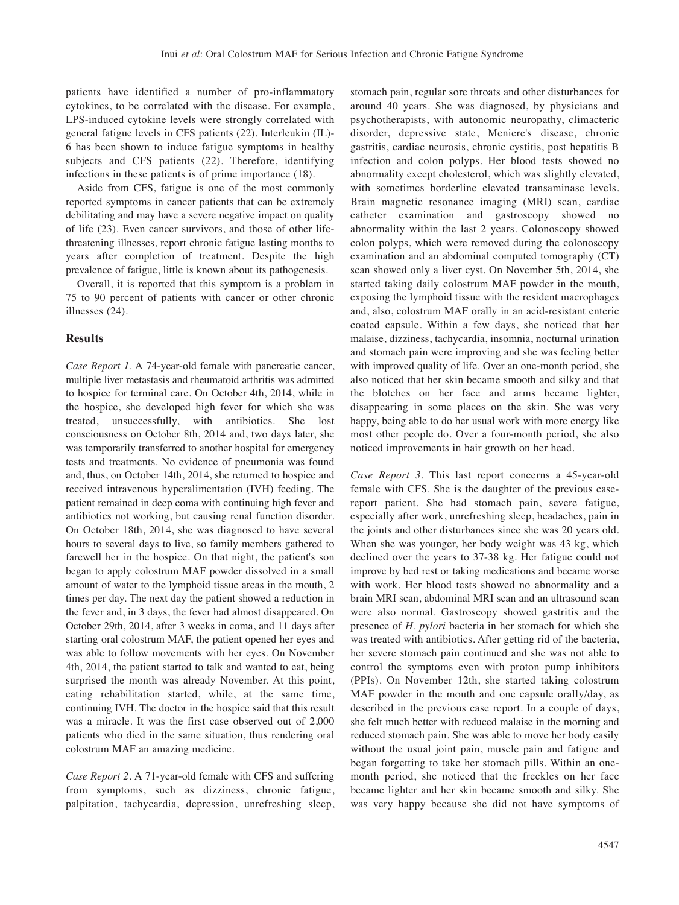patients have identified a number of pro-inflammatory cytokines, to be correlated with the disease. For example, LPS-induced cytokine levels were strongly correlated with general fatigue levels in CFS patients (22). Interleukin (IL)- 6 has been shown to induce fatigue symptoms in healthy subjects and CFS patients (22). Therefore, identifying infections in these patients is of prime importance (18).

Aside from CFS, fatigue is one of the most commonly reported symptoms in cancer patients that can be extremely debilitating and may have a severe negative impact on quality of life (23). Even cancer survivors, and those of other lifethreatening illnesses, report chronic fatigue lasting months to years after completion of treatment. Despite the high prevalence of fatigue, little is known about its pathogenesis.

Overall, it is reported that this symptom is a problem in 75 to 90 percent of patients with cancer or other chronic illnesses (24).

## **Results**

*Case Report 1.* A 74-year-old female with pancreatic cancer, multiple liver metastasis and rheumatoid arthritis was admitted to hospice for terminal care. On October 4th, 2014, while in the hospice, she developed high fever for which she was treated, unsuccessfully, with antibiotics. She lost consciousness on October 8th, 2014 and, two days later, she was temporarily transferred to another hospital for emergency tests and treatments. No evidence of pneumonia was found and, thus, on October 14th, 2014, she returned to hospice and received intravenous hyperalimentation (IVH) feeding. The patient remained in deep coma with continuing high fever and antibiotics not working, but causing renal function disorder. On October 18th, 2014, she was diagnosed to have several hours to several days to live, so family members gathered to farewell her in the hospice. On that night, the patient's son began to apply colostrum MAF powder dissolved in a small amount of water to the lymphoid tissue areas in the mouth, 2 times per day. The next day the patient showed a reduction in the fever and, in 3 days, the fever had almost disappeared. On October 29th, 2014, after 3 weeks in coma, and 11 days after starting oral colostrum MAF, the patient opened her eyes and was able to follow movements with her eyes. On November 4th, 2014, the patient started to talk and wanted to eat, being surprised the month was already November. At this point, eating rehabilitation started, while, at the same time, continuing IVH. The doctor in the hospice said that this result was a miracle. It was the first case observed out of 2,000 patients who died in the same situation, thus rendering oral colostrum MAF an amazing medicine.

*Case Report 2.* A 71-year-old female with CFS and suffering from symptoms, such as dizziness, chronic fatigue, palpitation, tachycardia, depression, unrefreshing sleep, stomach pain, regular sore throats and other disturbances for around 40 years. She was diagnosed, by physicians and psychotherapists, with autonomic neuropathy, climacteric disorder, depressive state, Meniere's disease, chronic gastritis, cardiac neurosis, chronic cystitis, post hepatitis B infection and colon polyps. Her blood tests showed no abnormality except cholesterol, which was slightly elevated, with sometimes borderline elevated transaminase levels. Brain magnetic resonance imaging (MRI) scan, cardiac catheter examination and gastroscopy showed no abnormality within the last 2 years. Colonoscopy showed colon polyps, which were removed during the colonoscopy examination and an abdominal computed tomography (CT) scan showed only a liver cyst. On November 5th, 2014, she started taking daily colostrum MAF powder in the mouth, exposing the lymphoid tissue with the resident macrophages and, also, colostrum MAF orally in an acid-resistant enteric coated capsule. Within a few days, she noticed that her malaise, dizziness, tachycardia, insomnia, nocturnal urination and stomach pain were improving and she was feeling better with improved quality of life. Over an one-month period, she also noticed that her skin became smooth and silky and that the blotches on her face and arms became lighter, disappearing in some places on the skin. She was very happy, being able to do her usual work with more energy like most other people do. Over a four-month period, she also noticed improvements in hair growth on her head.

*Case Report 3.* This last report concerns a 45-year-old female with CFS. She is the daughter of the previous casereport patient. She had stomach pain, severe fatigue, especially after work, unrefreshing sleep, headaches, pain in the joints and other disturbances since she was 20 years old. When she was younger, her body weight was 43 kg, which declined over the years to 37-38 kg. Her fatigue could not improve by bed rest or taking medications and became worse with work. Her blood tests showed no abnormality and a brain MRI scan, abdominal MRI scan and an ultrasound scan were also normal. Gastroscopy showed gastritis and the presence of *H. pylori* bacteria in her stomach for which she was treated with antibiotics. After getting rid of the bacteria, her severe stomach pain continued and she was not able to control the symptoms even with proton pump inhibitors (PPIs). On November 12th, she started taking colostrum MAF powder in the mouth and one capsule orally/day, as described in the previous case report. In a couple of days, she felt much better with reduced malaise in the morning and reduced stomach pain. She was able to move her body easily without the usual joint pain, muscle pain and fatigue and began forgetting to take her stomach pills. Within an onemonth period, she noticed that the freckles on her face became lighter and her skin became smooth and silky. She was very happy because she did not have symptoms of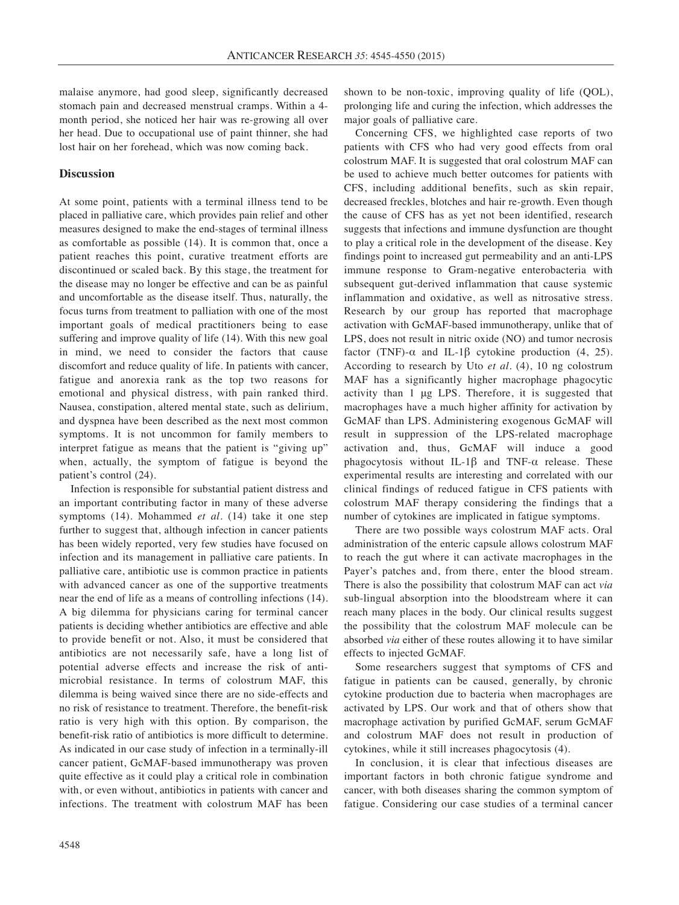malaise anymore, had good sleep, significantly decreased stomach pain and decreased menstrual cramps. Within a 4 month period, she noticed her hair was re-growing all over her head. Due to occupational use of paint thinner, she had lost hair on her forehead, which was now coming back.

## **Discussion**

At some point, patients with a terminal illness tend to be placed in palliative care, which provides pain relief and other measures designed to make the end-stages of terminal illness as comfortable as possible (14). It is common that, once a patient reaches this point, curative treatment efforts are discontinued or scaled back. By this stage, the treatment for the disease may no longer be effective and can be as painful and uncomfortable as the disease itself. Thus, naturally, the focus turns from treatment to palliation with one of the most important goals of medical practitioners being to ease suffering and improve quality of life (14). With this new goal in mind, we need to consider the factors that cause discomfort and reduce quality of life. In patients with cancer, fatigue and anorexia rank as the top two reasons for emotional and physical distress, with pain ranked third. Nausea, constipation, altered mental state, such as delirium, and dyspnea have been described as the next most common symptoms. It is not uncommon for family members to interpret fatigue as means that the patient is "giving up" when, actually, the symptom of fatigue is beyond the patient's control (24).

Infection is responsible for substantial patient distress and an important contributing factor in many of these adverse symptoms (14). Mohammed *et al.* (14) take it one step further to suggest that, although infection in cancer patients has been widely reported, very few studies have focused on infection and its management in palliative care patients. In palliative care, antibiotic use is common practice in patients with advanced cancer as one of the supportive treatments near the end of life as a means of controlling infections (14). A big dilemma for physicians caring for terminal cancer patients is deciding whether antibiotics are effective and able to provide benefit or not. Also, it must be considered that antibiotics are not necessarily safe, have a long list of potential adverse effects and increase the risk of antimicrobial resistance. In terms of colostrum MAF, this dilemma is being waived since there are no side-effects and no risk of resistance to treatment. Therefore, the benefit-risk ratio is very high with this option. By comparison, the benefit-risk ratio of antibiotics is more difficult to determine. As indicated in our case study of infection in a terminally-ill cancer patient, GcMAF-based immunotherapy was proven quite effective as it could play a critical role in combination with, or even without, antibiotics in patients with cancer and infections. The treatment with colostrum MAF has been

shown to be non-toxic, improving quality of life (QOL), prolonging life and curing the infection, which addresses the major goals of palliative care.

Concerning CFS, we highlighted case reports of two patients with CFS who had very good effects from oral colostrum MAF. It is suggested that oral colostrum MAF can be used to achieve much better outcomes for patients with CFS, including additional benefits, such as skin repair, decreased freckles, blotches and hair re-growth. Even though the cause of CFS has as yet not been identified, research suggests that infections and immune dysfunction are thought to play a critical role in the development of the disease. Key findings point to increased gut permeability and an anti-LPS immune response to Gram-negative enterobacteria with subsequent gut-derived inflammation that cause systemic inflammation and oxidative, as well as nitrosative stress. Research by our group has reported that macrophage activation with GcMAF-based immunotherapy, unlike that of LPS, does not result in nitric oxide (NO) and tumor necrosis factor (TNF)- $\alpha$  and IL-1 $\beta$  cytokine production (4, 25). According to research by Uto *et al.* (4), 10 ng colostrum MAF has a significantly higher macrophage phagocytic activity than 1 μg LPS. Therefore, it is suggested that macrophages have a much higher affinity for activation by GcMAF than LPS. Administering exogenous GcMAF will result in suppression of the LPS-related macrophage activation and, thus, GcMAF will induce a good phagocytosis without IL-1 $\beta$  and TNF- $\alpha$  release. These experimental results are interesting and correlated with our clinical findings of reduced fatigue in CFS patients with colostrum MAF therapy considering the findings that a number of cytokines are implicated in fatigue symptoms.

There are two possible ways colostrum MAF acts. Oral administration of the enteric capsule allows colostrum MAF to reach the gut where it can activate macrophages in the Payer's patches and, from there, enter the blood stream. There is also the possibility that colostrum MAF can act *via* sub-lingual absorption into the bloodstream where it can reach many places in the body. Our clinical results suggest the possibility that the colostrum MAF molecule can be absorbed *via* either of these routes allowing it to have similar effects to injected GcMAF.

Some researchers suggest that symptoms of CFS and fatigue in patients can be caused, generally, by chronic cytokine production due to bacteria when macrophages are activated by LPS. Our work and that of others show that macrophage activation by purified GcMAF, serum GcMAF and colostrum MAF does not result in production of cytokines, while it still increases phagocytosis (4).

In conclusion, it is clear that infectious diseases are important factors in both chronic fatigue syndrome and cancer, with both diseases sharing the common symptom of fatigue. Considering our case studies of a terminal cancer